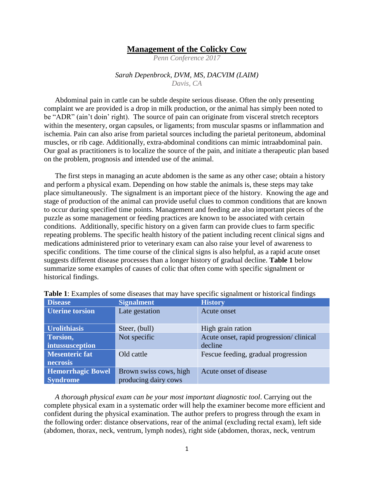## **Management of the Colicky Cow**

*Penn Conference 2017*

## *Sarah Depenbrock, DVM, MS, DACVIM (LAIM) Davis, CA*

Abdominal pain in cattle can be subtle despite serious disease. Often the only presenting complaint we are provided is a drop in milk production, or the animal has simply been noted to be "ADR" (ain't doin' right). The source of pain can originate from visceral stretch receptors within the mesentery, organ capsules, or ligaments; from muscular spasms or inflammation and ischemia. Pain can also arise from parietal sources including the parietal peritoneum, abdominal muscles, or rib cage. Additionally, extra-abdominal conditions can mimic intraabdominal pain. Our goal as practitioners is to localize the source of the pain, and initiate a therapeutic plan based on the problem, prognosis and intended use of the animal.

The first steps in managing an acute abdomen is the same as any other case; obtain a history and perform a physical exam. Depending on how stable the animals is, these steps may take place simultaneously. The signalment is an important piece of the history. Knowing the age and stage of production of the animal can provide useful clues to common conditions that are known to occur during specified time points. Management and feeding are also important pieces of the puzzle as some management or feeding practices are known to be associated with certain conditions. Additionally, specific history on a given farm can provide clues to farm specific repeating problems. The specific health history of the patient including recent clinical signs and medications administered prior to veterinary exam can also raise your level of awareness to specific conditions. The time course of the clinical signs is also helpful, as a rapid acute onset suggests different disease processes than a longer history of gradual decline. **Table 1** below summarize some examples of causes of colic that often come with specific signalment or historical findings.

| <b>Disease</b>           | <b>Signalment</b>      | <b>History</b>                          |
|--------------------------|------------------------|-----------------------------------------|
| <b>Uterine torsion</b>   | Late gestation         | Acute onset                             |
| <b>Urolithiasis</b>      | Steer, (bull)          | High grain ration                       |
| Torsion,                 | Not specific           | Acute onset, rapid progression/clinical |
| intussusception          |                        | decline                                 |
| <b>Mesenteric fat</b>    | Old cattle             | Fescue feeding, gradual progression     |
| necrosis                 |                        |                                         |
| <b>Hemorrhagic Bowel</b> | Brown swiss cows, high | Acute onset of disease                  |
| <b>Syndrome</b>          | producing dairy cows   |                                         |

**Table 1**: Examples of some diseases that may have specific signalment or historical findings

*A thorough physical exam can be your most important diagnostic tool*. Carrying out the complete physical exam in a systematic order will help the examiner become more efficient and confident during the physical examination. The author prefers to progress through the exam in the following order: distance observations, rear of the animal (excluding rectal exam), left side (abdomen, thorax, neck, ventrum, lymph nodes), right side (abdomen, thorax, neck, ventrum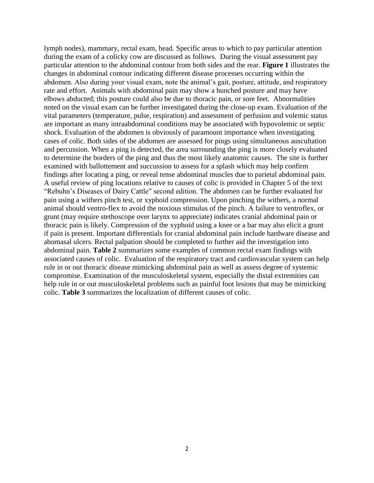lymph nodes), mammary, rectal exam, head. Specific areas to which to pay particular attention during the exam of a colicky cow are discussed as follows. During the visual assessment pay particular attention to the abdominal contour from both sides and the rear. **Figure 1** illustrates the changes in abdominal contour indicating different disease processes occurring within the abdomen. Also during your visual exam, note the animal's gait, posture, attitude, and respiratory rate and effort. Animals with abdominal pain may show a hunched posture and may have elbows abducted; this posture could also be due to thoracic pain, or sore feet. Abnormalities noted on the visual exam can be further investigated during the close-up exam. Evaluation of the vital parameters (temperature, pulse, respiration) and assessment of perfusion and volemic status are important as many intraabdominal conditions may be associated with hypovolemic or septic shock. Evaluation of the abdomen is obviously of paramount importance when investigating cases of colic. Both sides of the abdomen are assessed for pings using simultaneous auscultation and percussion. When a ping is detected, the area surrounding the ping is more closely evaluated to determine the borders of the ping and thus the most likely anatomic causes. The site is further examined with ballottement and succussion to assess for a splash which may help confirm findings after locating a ping, or reveal tense abdominal muscles due to parietal abdominal pain. A useful review of ping locations relative to causes of colic is provided in Chapter 5 of the text "Rebuhn's Diseases of Dairy Cattle" second edition. The abdomen can be further evaluated for pain using a withers pinch test, or xyphoid compression. Upon pinching the withers, a normal animal should ventro-flex to avoid the noxious stimulus of the pinch. A failure to ventroflex, or grunt (may require stethoscope over larynx to appreciate) indicates cranial abdominal pain or thoracic pain is likely. Compression of the xyphoid using a knee or a bar may also elicit a grunt if pain is present. Important differentials for cranial abdominal pain include hardware disease and abomasal ulcers. Rectal palpation should be completed to further aid the investigation into abdominal pain. **Table 2** summarizes some examples of common rectal exam findings with associated causes of colic. Evaluation of the respiratory tract and cardiovascular system can help rule in or out thoracic disease mimicking abdominal pain as well as assess degree of systemic compromise. Examination of the musculoskeletal system, especially the distal extremities can help rule in or out musculoskeletal problems such as painful foot lesions that may be mimicking colic. **Table 3** summarizes the localization of different causes of colic.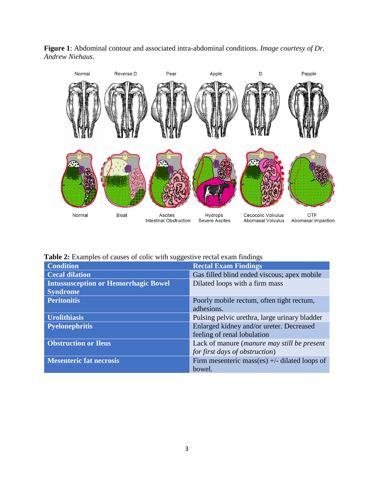



|  |  |  |  | Table 2: Examples of causes of colic with suggestive rectal exam findings |  |  |
|--|--|--|--|---------------------------------------------------------------------------|--|--|
|  |  |  |  |                                                                           |  |  |

| ت                                           |                                                 |
|---------------------------------------------|-------------------------------------------------|
| <b>Condition</b>                            | <b>Rectal Exam Findings</b>                     |
| <b>Cecal dilation</b>                       | Gas filled blind ended viscous; apex mobile     |
| <b>Intussusception or Hemorrhagic Bowel</b> | Dilated loops with a firm mass                  |
| <b>Syndrome</b>                             |                                                 |
| <b>Peritonitis</b>                          | Poorly mobile rectum, often tight rectum,       |
|                                             | adhesions.                                      |
| <b>Urolithiasis</b>                         | Pulsing pelvic urethra, large urinary bladder   |
| <b>Pyelonephritis</b>                       | Enlarged kidney and/or ureter. Decreased        |
|                                             | feeling of renal lobulation                     |
| <b>Obstruction or Ileus</b>                 | Lack of manure (manure may still be present     |
|                                             | for first days of obstruction)                  |
| <b>Mesenteric fat necrosis</b>              | Firm mesenteric mass(es) $+/-$ dilated loops of |
|                                             | bowel.                                          |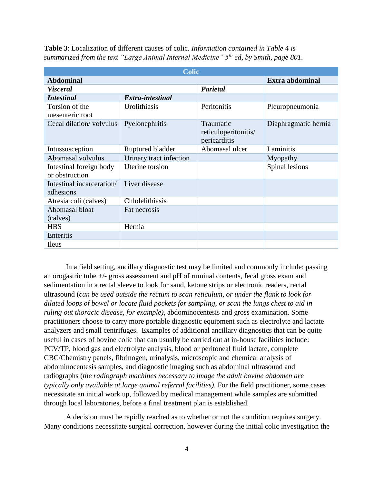| <b>Colic</b>                              |                         |                                                   |                      |  |  |  |
|-------------------------------------------|-------------------------|---------------------------------------------------|----------------------|--|--|--|
| <b>Abdominal</b>                          | Extra abdominal         |                                                   |                      |  |  |  |
| <b>Visceral</b>                           |                         | Parietal                                          |                      |  |  |  |
| <b>Intestinal</b>                         | Extra-intestinal        |                                                   |                      |  |  |  |
| Torsion of the<br>mesenteric root         | Urolithiasis            | Peritonitis                                       | Pleuropneumonia      |  |  |  |
| Cecal dilation/volvulus                   | Pyelonephritis          | Traumatic<br>reticuloperitonitis/<br>pericarditis | Diaphragmatic hernia |  |  |  |
| Intussusception                           | Ruptured bladder        | Abomasal ulcer                                    | Laminitis            |  |  |  |
| Abomasal volvulus                         | Urinary tract infection |                                                   | Myopathy             |  |  |  |
| Intestinal foreign body<br>or obstruction | Uterine torsion         |                                                   | Spinal lesions       |  |  |  |
| Intestinal incarceration/<br>adhesions    | Liver disease           |                                                   |                      |  |  |  |
| Atresia coli (calves)                     | Chlolelithiasis         |                                                   |                      |  |  |  |
| Abomasal bloat<br>(calves)                | Fat necrosis            |                                                   |                      |  |  |  |
| <b>HBS</b>                                | Hernia                  |                                                   |                      |  |  |  |
| Enteritis                                 |                         |                                                   |                      |  |  |  |
| <b>Ileus</b>                              |                         |                                                   |                      |  |  |  |

**Table 3**: Localization of different causes of colic. *Information contained in Table 4 is summarized from the text "Large Animal Internal Medicine" 5th ed, by Smith, page 801.*

In a field setting, ancillary diagnostic test may be limited and commonly include: passing an orogastric tube +/- gross assessment and pH of ruminal contents, fecal gross exam and sedimentation in a rectal sleeve to look for sand, ketone strips or electronic readers, rectal ultrasound (*can be used outside the rectum to scan reticulum, or under the flank to look for dilated loops of bowel or locate fluid pockets for sampling, or scan the lungs chest to aid in ruling out thoracic disease, for example),* abdominocentesis and gross examination. Some practitioners choose to carry more portable diagnostic equipment such as electrolyte and lactate analyzers and small centrifuges. Examples of additional ancillary diagnostics that can be quite useful in cases of bovine colic that can usually be carried out at in-house facilities include: PCV/TP, blood gas and electrolyte analysis, blood or peritoneal fluid lactate, complete CBC/Chemistry panels, fibrinogen, urinalysis, microscopic and chemical analysis of abdominocentesis samples, and diagnostic imaging such as abdominal ultrasound and radiographs (*the radiograph machines necessary to image the adult bovine abdomen are typically only available at large animal referral facilities)*. For the field practitioner, some cases necessitate an initial work up, followed by medical management while samples are submitted through local laboratories, before a final treatment plan is established.

A decision must be rapidly reached as to whether or not the condition requires surgery. Many conditions necessitate surgical correction, however during the initial colic investigation the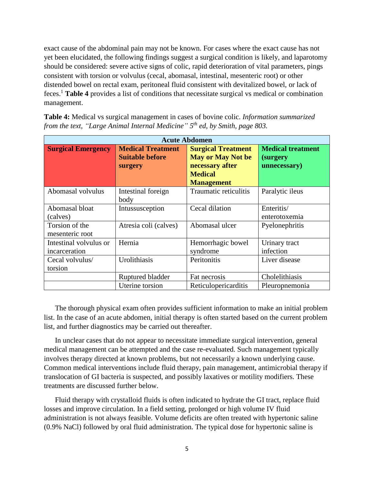exact cause of the abdominal pain may not be known. For cases where the exact cause has not yet been elucidated, the following findings suggest a surgical condition is likely, and laparotomy should be considered: severe active signs of colic, rapid deterioration of vital parameters, pings consistent with torsion or volvulus (cecal, abomasal, intestinal, mesenteric root) or other distended bowel on rectal exam, peritoneal fluid consistent with devitalized bowel, or lack of feces. <sup>1</sup> **Table 4** provides a list of conditions that necessitate surgical vs medical or combination management.

| <b>Table 4:</b> Medical vs surgical management in cases of bovine colic. <i>Information summarized</i> |  |
|--------------------------------------------------------------------------------------------------------|--|
| from the text, "Large Animal Internal Medicine" $5th$ ed, by Smith, page 803.                          |  |

| <b>Acute Abdomen</b>                    |                                                               |                                                                          |                                                      |  |  |  |
|-----------------------------------------|---------------------------------------------------------------|--------------------------------------------------------------------------|------------------------------------------------------|--|--|--|
| <b>Surgical Emergency</b>               | <b>Medical Treatment</b><br><b>Suitable before</b><br>surgery | <b>Surgical Treatment</b><br><b>May or May Not be</b><br>necessary after | <b>Medical treatment</b><br>(surgery<br>unnecessary) |  |  |  |
|                                         |                                                               | <b>Medical</b><br><b>Management</b>                                      |                                                      |  |  |  |
| Abomasal volvulus                       | Intestinal foreign<br>body                                    | Traumatic reticulitis                                                    | Paralytic ileus                                      |  |  |  |
| Abomasal bloat<br>(calves)              | Intussusception                                               | Cecal dilation                                                           | Enteritis/<br>enterotoxemia                          |  |  |  |
| Torsion of the<br>mesenteric root       | Atresia coli (calves)                                         | Abomasal ulcer                                                           | Pyelonephritis                                       |  |  |  |
| Intestinal volvulus or<br>incarceration | Hernia                                                        | Hemorrhagic bowel<br>syndrome                                            | Urinary tract<br>infection                           |  |  |  |
| Cecal volvulus/<br>torsion              | Urolithiasis                                                  | Peritonitis                                                              | Liver disease                                        |  |  |  |
|                                         | Ruptured bladder                                              | Fat necrosis                                                             | Cholelithiasis                                       |  |  |  |
|                                         | Uterine torsion                                               | Reticulopericarditis                                                     | Pleuropnemonia                                       |  |  |  |

The thorough physical exam often provides sufficient information to make an initial problem list. In the case of an acute abdomen, initial therapy is often started based on the current problem list, and further diagnostics may be carried out thereafter.

In unclear cases that do not appear to necessitate immediate surgical intervention, general medical management can be attempted and the case re-evaluated. Such management typically involves therapy directed at known problems, but not necessarily a known underlying cause. Common medical interventions include fluid therapy, pain management, antimicrobial therapy if translocation of GI bacteria is suspected, and possibly laxatives or motility modifiers. These treatments are discussed further below.

Fluid therapy with crystalloid fluids is often indicated to hydrate the GI tract, replace fluid losses and improve circulation. In a field setting, prolonged or high volume IV fluid administration is not always feasible. Volume deficits are often treated with hypertonic saline (0.9% NaCl) followed by oral fluid administration. The typical dose for hypertonic saline is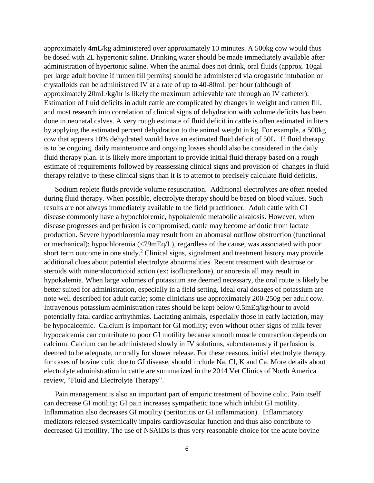approximately 4mL/kg administered over approximately 10 minutes. A 500kg cow would thus be dosed with 2L hypertonic saline. Drinking water should be made immediately available after administration of hypertonic saline. When the animal does not drink, oral fluids (approx. 10gal per large adult bovine if rumen fill permits) should be administered via orogastric intubation or crystalloids can be administered IV at a rate of up to 40-80mL per hour (although of approximately 20mL/kg/hr is likely the maximum achievable rate through an IV catheter). Estimation of fluid deficits in adult cattle are complicated by changes in weight and rumen fill, and most research into correlation of clinical signs of dehydration with volume deficits has been done in neonatal calves. A very rough estimate of fluid deficit in cattle is often estimated in liters by applying the estimated percent dehydration to the animal weight in kg. For example, a 500kg cow that appears 10% dehydrated would have an estimated fluid deficit of 50L. If fluid therapy is to be ongoing, daily maintenance and ongoing losses should also be considered in the daily fluid therapy plan. It is likely more important to provide initial fluid therapy based on a rough estimate of requirements followed by reassessing clinical signs and provision of changes in fluid therapy relative to these clinical signs than it is to attempt to precisely calculate fluid deficits.

Sodium replete fluids provide volume resuscitation. Additional electrolytes are often needed during fluid therapy. When possible, electrolyte therapy should be based on blood values. Such results are not always immediately available to the field practitioner. Adult cattle with GI disease commonly have a hypochloremic, hypokalemic metabolic alkalosis. However, when disease progresses and perfusion is compromised, cattle may become acidotic from lactate production. Severe hypochloremia may result from an abomasal outflow obstruction (functional or mechanical); hypochloremia (<79mEq/L), regardless of the cause, was associated with poor short term outcome in one study.<sup>2</sup> Clinical signs, signalment and treatment history may provide additional clues about potential electrolyte abnormalities. Recent treatment with dextrose or steroids with mineralocorticoid action (ex: isoflupredone), or anorexia all may result in hypokalemia. When large volumes of potassium are deemed necessary, the oral route is likely be better suited for administration, especially in a field setting. Ideal oral dosages of potassium are note well described for adult cattle; some clinicians use approximately 200-250g per adult cow. Intravenous potassium administration rates should be kept below 0.5mEq/kg/hour to avoid potentially fatal cardiac arrhythmias. Lactating animals, especially those in early lactation, may be hypocalcemic. Calcium is important for GI motility; even without other signs of milk fever hypocalcemia can contribute to poor GI motility because smooth muscle contraction depends on calcium. Calcium can be administered slowly in IV solutions, subcutaneously if perfusion is deemed to be adequate, or orally for slower release. For these reasons, initial electrolyte therapy for cases of bovine colic due to GI disease, should include Na, Cl, K and Ca. More details about electrolyte administration in cattle are summarized in the 2014 Vet Clinics of North America review, "Fluid and Electrolyte Therapy".

Pain management is also an important part of empiric treatment of bovine colic. Pain itself can decrease GI motility; GI pain increases sympathetic tone which inhibit GI motility. Inflammation also decreases GI motility (peritonitis or GI inflammation). Inflammatory mediators released systemically impairs cardiovascular function and thus also contribute to decreased GI motility. The use of NSAIDs is thus very reasonable choice for the acute bovine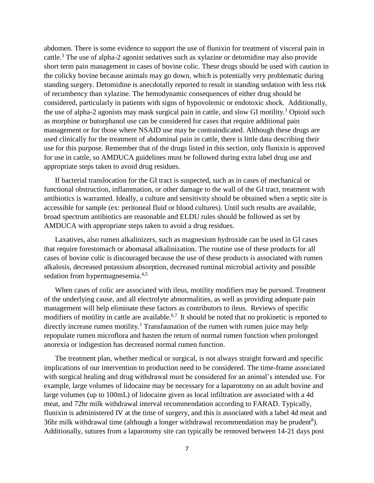abdomen. There is some evidence to support the use of flunixin for treatment of visceral pain in cattle. <sup>3</sup> The use of alpha-2 agonist sedatives such as xylazine or detomidine may also provide short term pain management in cases of bovine colic. These drugs should be used with caution in the colicky bovine because animals may go down, which is potentially very problematic during standing surgery. Detomidine is anecdotally reported to result in standing sedation with less risk of recumbency than xylazine. The hemodynamic consequences of either drug should be considered, particularly in patients with signs of hypovolemic or endotoxic shock. Additionally, the use of alpha-2 agonists may mask surgical pain in cattle, and slow GI motility. <sup>1</sup> Opioid such as morphine or butorphanol use can be considered for cases that require additional pain management or for those where NSAID use may be contraindicated. Although these drugs are used clinically for the treatment of abdominal pain in cattle, there is little data describing their use for this purpose. Remember that of the drugs listed in this section, only flunixin is approved for use in cattle, so AMDUCA guidelines must be followed during extra label drug use and appropriate steps taken to avoid drug residues.

If bacterial translocation for the GI tract is suspected, such as in cases of mechanical or functional obstruction, inflammation, or other damage to the wall of the GI tract, treatment with antibiotics is warranted. Ideally, a culture and sensitivity should be obtained when a septic site is accessible for sample (ex: peritoneal fluid or blood cultures). Until such results are available, broad spectrum antibiotics are reasonable and ELDU rules should be followed as set by AMDUCA with appropriate steps taken to avoid a drug residues.

Laxatives, also rumen alkalinizers, such as magnesium hydroxide can be used in GI cases that require forestomach or abomasal alkalinization. The routine use of these products for all cases of bovine colic is discouraged because the use of these products is associated with rumen alkalosis, decreased potassium absorption, decreased ruminal microbial activity and possible sedation from hypermagnesemia.<sup>4,5</sup>

When cases of colic are associated with ileus, motility modifiers may be pursued. Treatment of the underlying cause, and all electrolyte abnormalities, as well as providing adequate pain management will help eliminate these factors as contributors to ileus. Reviews of specific modifiers of motility in cattle are available.<sup>6,7</sup> It should be noted that no prokinetic is reported to directly increase rumen motility.<sup>1</sup> Transfaunation of the rumen with rumen juice may help repopulate rumen microflora and hasten the return of normal rumen function when prolonged anorexia or indigestion has decreased normal rumen function.

The treatment plan, whether medical or surgical, is not always straight forward and specific implications of our intervention to production need to be considered. The time-frame associated with surgical healing and drug withdrawal must be considered for an animal's intended use. For example, large volumes of lidocaine may be necessary for a laparotomy on an adult bovine and large volumes (up to 100mL) of lidocaine given as local infiltration are associated with a 4d meat, and 72hr milk withdrawal interval recommendation according to FARAD. Typically, flunixin is administered IV at the time of surgery, and this is associated with a label 4d meat and 36hr milk withdrawal time (although a longer withdrawal recommendation may be prudent<sup>8</sup>). Additionally, sutures from a laparotomy site can typically be removed between 14-21 days post